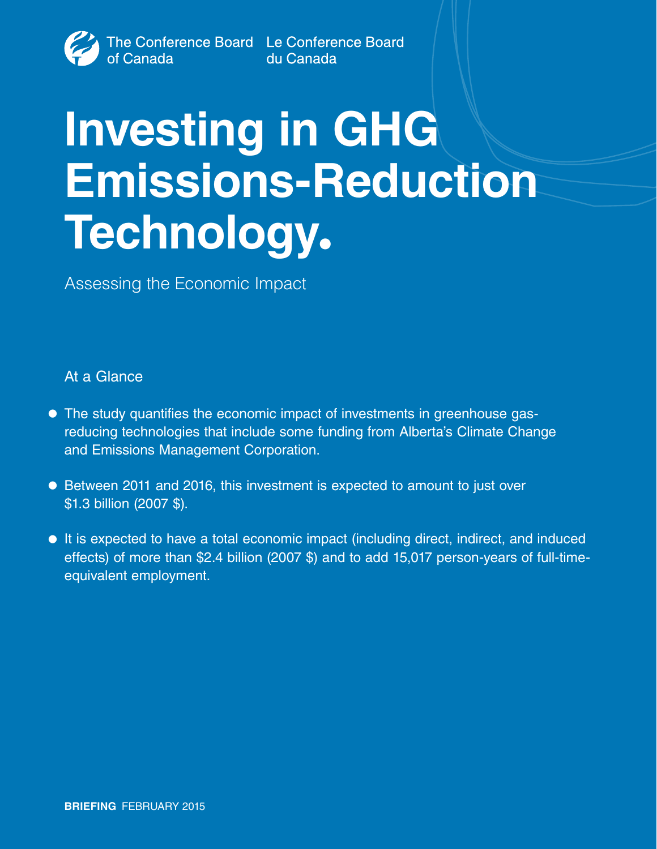# **Investing in GHG Emissions-Reduction Technology.**

Assessing the Economic Impact

# At a Glance

- The study quantifies the economic impact of investments in greenhouse gasreducing technologies that include some funding from Alberta's Climate Change and Emissions Management Corporation.
- Between 2011 and 2016, this investment is expected to amount to just over \$1.3 billion (2007 \$).
- It is expected to have a total economic impact (including direct, indirect, and induced effects) of more than \$2.4 billion (2007 \$) and to add 15,017 person-years of full-timeequivalent employment.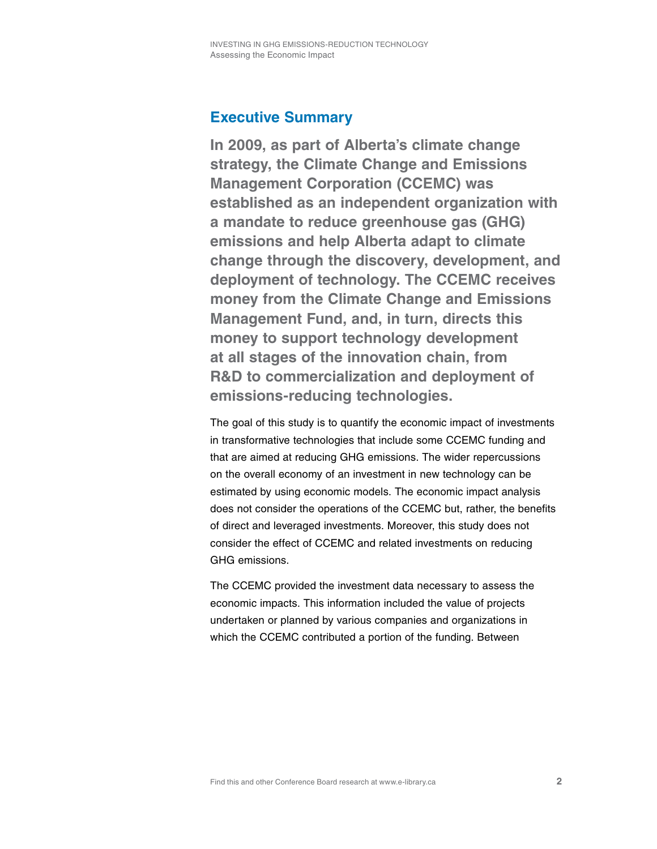# **Executive Summary**

**In 2009, as part of Alberta's climate change strategy, the Climate Change and Emissions Management Corporation (CCEMC) was established as an independent organization with a mandate to reduce greenhouse gas (GHG) emissions and help Alberta adapt to climate change through the discovery, development, and deployment of technology. The CCEMC receives money from the Climate Change and Emissions Management Fund, and, in turn, directs this money to support technology development at all stages of the innovation chain, from R&D to commercialization and deployment of emissions-reducing technologies.**

The goal of this study is to quantify the economic impact of investments in transformative technologies that include some CCEMC funding and that are aimed at reducing GHG emissions. The wider repercussions on the overall economy of an investment in new technology can be estimated by using economic models. The economic impact analysis does not consider the operations of the CCEMC but, rather, the benefits of direct and leveraged investments. Moreover, this study does not consider the effect of CCEMC and related investments on reducing GHG emissions.

The CCEMC provided the investment data necessary to assess the economic impacts. This information included the value of projects undertaken or planned by various companies and organizations in which the CCEMC contributed a portion of the funding. Between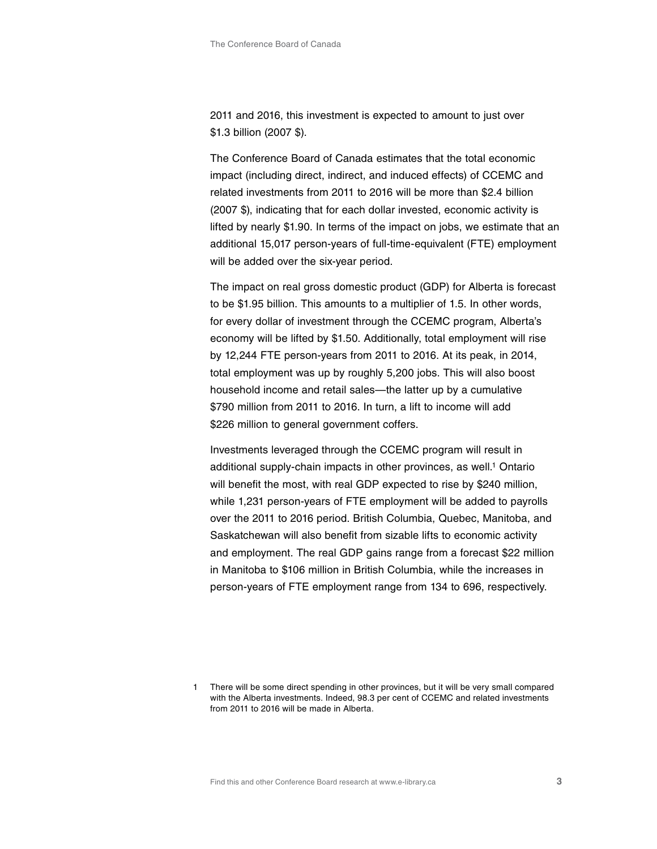2011 and 2016, this investment is expected to amount to just over \$1.3 billion (2007 \$).

The Conference Board of Canada estimates that the total economic impact (including direct, indirect, and induced effects) of CCEMC and related investments from 2011 to 2016 will be more than \$2.4 billion (2007 \$), indicating that for each dollar invested, economic activity is lifted by nearly \$1.90. In terms of the impact on jobs, we estimate that an additional 15,017 person-years of full-time-equivalent (FTE) employment will be added over the six-year period.

The impact on real gross domestic product (GDP) for Alberta is forecast to be \$1.95 billion. This amounts to a multiplier of 1.5. In other words, for every dollar of investment through the CCEMC program, Alberta's economy will be lifted by \$1.50. Additionally, total employment will rise by 12,244 FTE person-years from 2011 to 2016. At its peak, in 2014, total employment was up by roughly 5,200 jobs. This will also boost household income and retail sales—the latter up by a cumulative \$790 million from 2011 to 2016. In turn, a lift to income will add \$226 million to general government coffers.

Investments leveraged through the CCEMC program will result in additional supply-chain impacts in other provinces, as well.<sup>1</sup> Ontario will benefit the most, with real GDP expected to rise by \$240 million, while 1,231 person-years of FTE employment will be added to payrolls over the 2011 to 2016 period. British Columbia, Quebec, Manitoba, and Saskatchewan will also benefit from sizable lifts to economic activity and employment. The real GDP gains range from a forecast \$22 million in Manitoba to \$106 million in British Columbia, while the increases in person-years of FTE employment range from 134 to 696, respectively.

There will be some direct spending in other provinces, but it will be very small compared with the Alberta investments. Indeed, 98.3 per cent of CCEMC and related investments from 2011 to 2016 will be made in Alberta.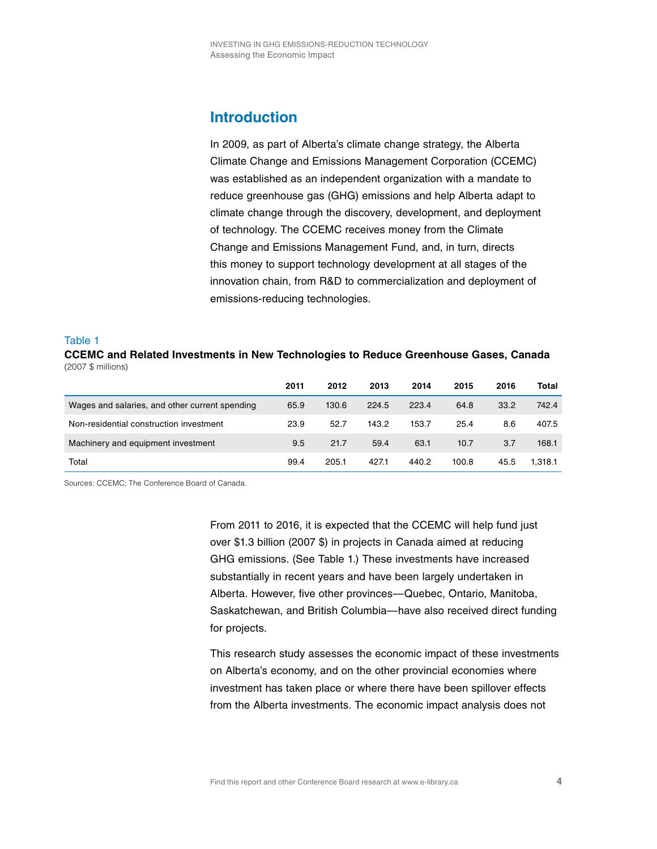# **Introduction**

In 2009, as part of Alberta's climate change strategy, the Alberta Climate Change and Emissions Management Corporation (CCEMC) was established as an independent organization with a mandate to reduce greenhouse gas (GHG) emissions and help Alberta adapt to climate change through the discovery, development, and deployment of technology. The CCEMC receives money from the Climate Change and Emissions Management Fund, and, in turn, directs this money to support technology development at all stages of the innovation chain, from R&D to commercialization and deployment of emissions-reducing technologies.

#### Table 1

**CCEMC and Related Investments in New Technologies to Reduce Greenhouse Gases, Canada** (2007 \$ millions)

|                                                | 2011 | 2012  | 2013  | 2014  | 2015  | 2016 | Total   |
|------------------------------------------------|------|-------|-------|-------|-------|------|---------|
| Wages and salaries, and other current spending | 65.9 | 130.6 | 224.5 | 223.4 | 64.8  | 33.2 | 742.4   |
| Non-residential construction investment        | 23.9 | 52.7  | 143.2 | 153.7 | 25.4  | 8.6  | 407.5   |
| Machinery and equipment investment             | 9.5  | 21.7  | 59.4  | 63.1  | 10.7  | 3.7  | 168.1   |
| Total                                          | 99.4 | 205.1 | 427.1 | 440.2 | 100.8 | 45.5 | 1.318.1 |

Sources: CCEMC; The Conference Board of Canada.

From 2011 to 2016, it is expected that the CCEMC will help fund just over \$1.3 billion (2007 \$) in projects in Canada aimed at reducing GHG emissions. (See Table 1.) These investments have increased substantially in recent years and have been largely undertaken in Alberta. However, five other provinces—Quebec, Ontario, Manitoba, Saskatchewan, and British Columbia—have also received direct funding for projects.

This research study assesses the economic impact of these investments on Alberta's economy, and on the other provincial economies where investment has taken place or where there have been spillover effects from the Alberta investments. The economic impact analysis does not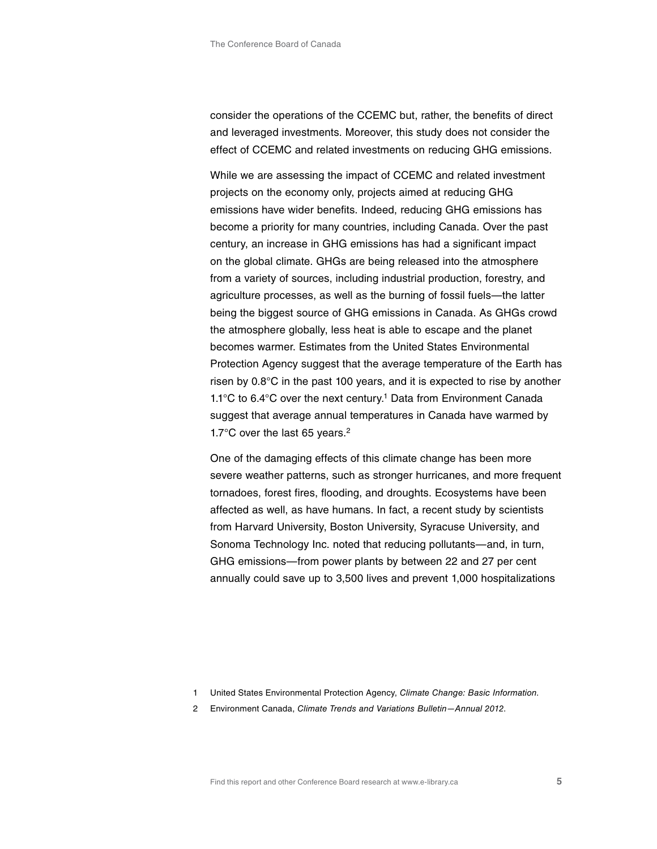consider the operations of the CCEMC but, rather, the benefits of direct and leveraged investments. Moreover, this study does not consider the effect of CCEMC and related investments on reducing GHG emissions.

While we are assessing the impact of CCEMC and related investment projects on the economy only, projects aimed at reducing GHG emissions have wider benefits. Indeed, reducing GHG emissions has become a priority for many countries, including Canada. Over the past century, an increase in GHG emissions has had a significant impact on the global climate. GHGs are being released into the atmosphere from a variety of sources, including industrial production, forestry, and agriculture processes, as well as the burning of fossil fuels—the latter being the biggest source of GHG emissions in Canada. As GHGs crowd the atmosphere globally, less heat is able to escape and the planet becomes warmer. Estimates from the United States Environmental Protection Agency suggest that the average temperature of the Earth has risen by 0.8°C in the past 100 years, and it is expected to rise by another 1.1°C to 6.4°C over the next century.1 Data from Environment Canada suggest that average annual temperatures in Canada have warmed by 1.7°C over the last 65 years.2

One of the damaging effects of this climate change has been more severe weather patterns, such as stronger hurricanes, and more frequent tornadoes, forest fires, flooding, and droughts. Ecosystems have been affected as well, as have humans. In fact, a recent study by scientists from Harvard University, Boston University, Syracuse University, and Sonoma Technology Inc. noted that reducing pollutants—and, in turn, GHG emissions—from power plants by between 22 and 27 per cent annually could save up to 3,500 lives and prevent 1,000 hospitalizations

2 Environment Canada, *Climate Trends and Variations Bulletin—Annual 2012*.

<sup>1</sup> United States Environmental Protection Agency, *Climate Change: Basic Information*.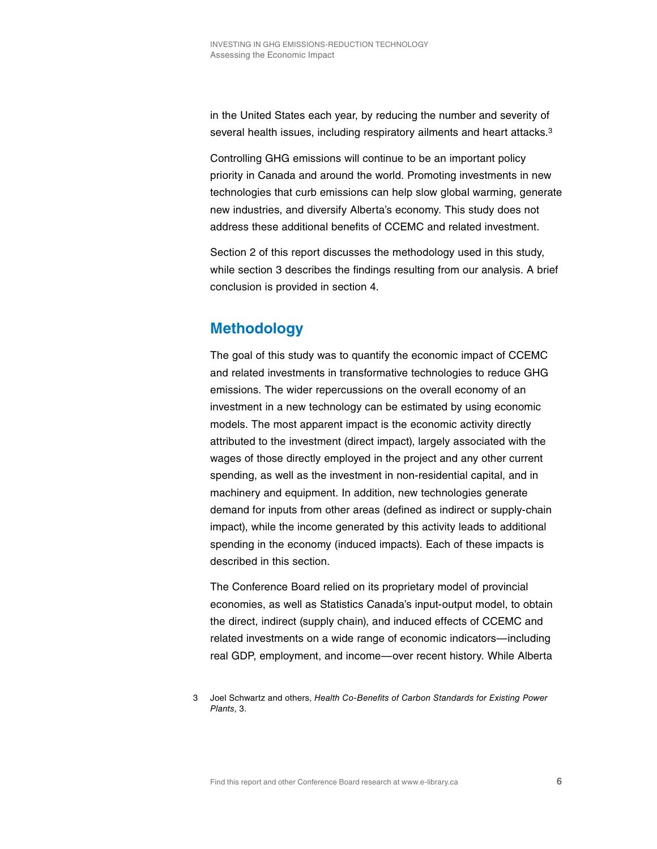in the United States each year, by reducing the number and severity of several health issues, including respiratory ailments and heart attacks.<sup>3</sup>

Controlling GHG emissions will continue to be an important policy priority in Canada and around the world. Promoting investments in new technologies that curb emissions can help slow global warming, generate new industries, and diversify Alberta's economy. This study does not address these additional benefits of CCEMC and related investment.

Section 2 of this report discusses the methodology used in this study, while section 3 describes the findings resulting from our analysis. A brief conclusion is provided in section 4.

# **Methodology**

The goal of this study was to quantify the economic impact of CCEMC and related investments in transformative technologies to reduce GHG emissions. The wider repercussions on the overall economy of an investment in a new technology can be estimated by using economic models. The most apparent impact is the economic activity directly attributed to the investment (direct impact), largely associated with the wages of those directly employed in the project and any other current spending, as well as the investment in non-residential capital, and in machinery and equipment. In addition, new technologies generate demand for inputs from other areas (defined as indirect or supply-chain impact), while the income generated by this activity leads to additional spending in the economy (induced impacts). Each of these impacts is described in this section.

The Conference Board relied on its proprietary model of provincial economies, as well as Statistics Canada's input-output model, to obtain the direct, indirect (supply chain), and induced effects of CCEMC and related investments on a wide range of economic indicators—including real GDP, employment, and income—over recent history. While Alberta

<sup>3</sup> Joel Schwartz and others, *Health Co-Benefits of Carbon Standards for Existing Power Plants*, 3.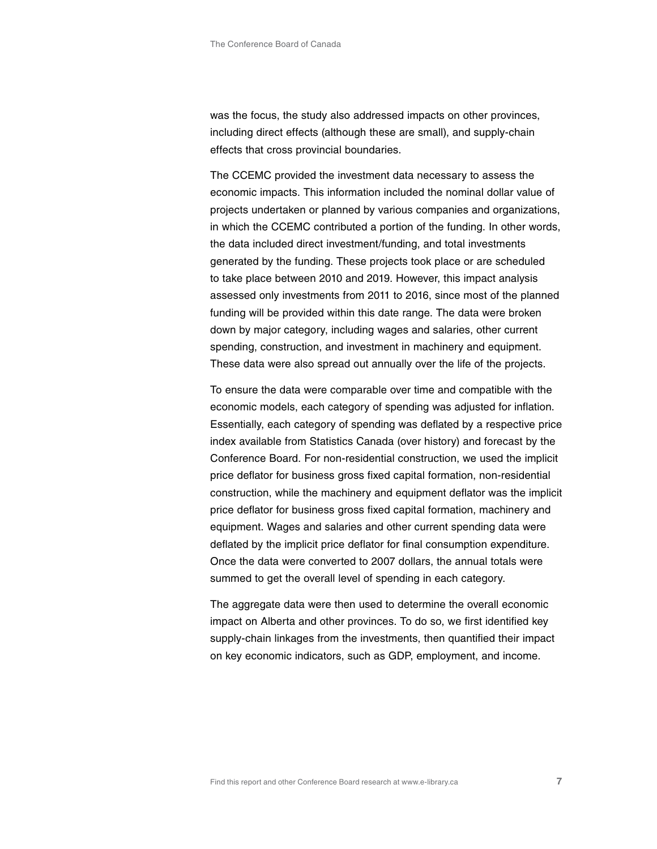was the focus, the study also addressed impacts on other provinces, including direct effects (although these are small), and supply-chain effects that cross provincial boundaries.

The CCEMC provided the investment data necessary to assess the economic impacts. This information included the nominal dollar value of projects undertaken or planned by various companies and organizations, in which the CCEMC contributed a portion of the funding. In other words, the data included direct investment/funding, and total investments generated by the funding. These projects took place or are scheduled to take place between 2010 and 2019. However, this impact analysis assessed only investments from 2011 to 2016, since most of the planned funding will be provided within this date range. The data were broken down by major category, including wages and salaries, other current spending, construction, and investment in machinery and equipment. These data were also spread out annually over the life of the projects.

To ensure the data were comparable over time and compatible with the economic models, each category of spending was adjusted for inflation. Essentially, each category of spending was deflated by a respective price index available from Statistics Canada (over history) and forecast by the Conference Board. For non-residential construction, we used the implicit price deflator for business gross fixed capital formation, non-residential construction, while the machinery and equipment deflator was the implicit price deflator for business gross fixed capital formation, machinery and equipment. Wages and salaries and other current spending data were deflated by the implicit price deflator for final consumption expenditure. Once the data were converted to 2007 dollars, the annual totals were summed to get the overall level of spending in each category.

The aggregate data were then used to determine the overall economic impact on Alberta and other provinces. To do so, we first identified key supply-chain linkages from the investments, then quantified their impact on key economic indicators, such as GDP, employment, and income.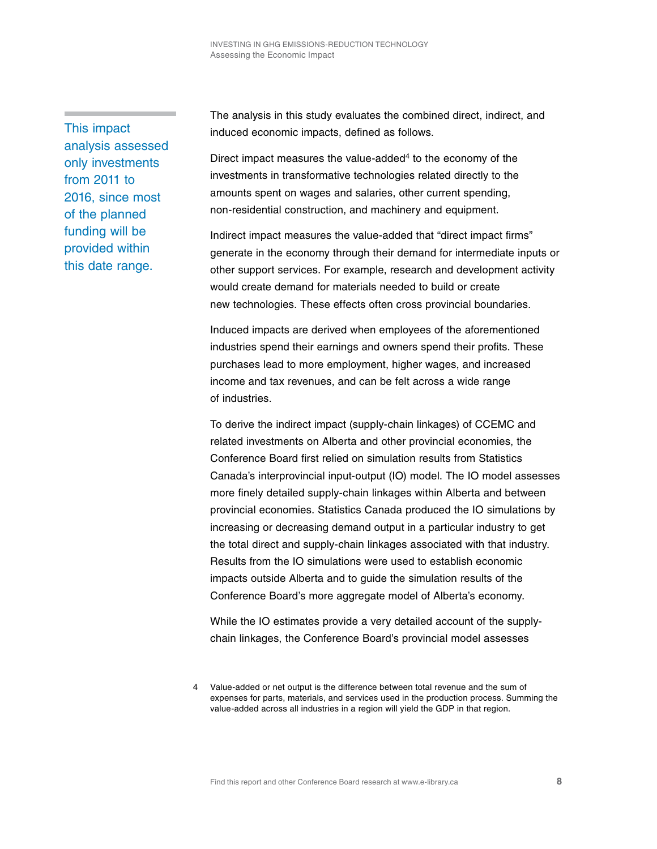This impact analysis assessed only investments from 2011 to 2016, since most of the planned funding will be provided within this date range.

The analysis in this study evaluates the combined direct, indirect, and induced economic impacts, defined as follows.

Direct impact measures the value-added<sup>4</sup> to the economy of the investments in transformative technologies related directly to the amounts spent on wages and salaries, other current spending, non-residential construction, and machinery and equipment.

Indirect impact measures the value-added that "direct impact firms" generate in the economy through their demand for intermediate inputs or other support services. For example, research and development activity would create demand for materials needed to build or create new technologies. These effects often cross provincial boundaries.

Induced impacts are derived when employees of the aforementioned industries spend their earnings and owners spend their profits. These purchases lead to more employment, higher wages, and increased income and tax revenues, and can be felt across a wide range of industries.

To derive the indirect impact (supply-chain linkages) of CCEMC and related investments on Alberta and other provincial economies, the Conference Board first relied on simulation results from Statistics Canada's interprovincial input-output (IO) model. The IO model assesses more finely detailed supply-chain linkages within Alberta and between provincial economies. Statistics Canada produced the IO simulations by increasing or decreasing demand output in a particular industry to get the total direct and supply-chain linkages associated with that industry. Results from the IO simulations were used to establish economic impacts outside Alberta and to guide the simulation results of the Conference Board's more aggregate model of Alberta's economy.

While the IO estimates provide a very detailed account of the supplychain linkages, the Conference Board's provincial model assesses

<sup>4</sup> Value-added or net output is the difference between total revenue and the sum of expenses for parts, materials, and services used in the production process. Summing the value-added across all industries in a region will yield the GDP in that region.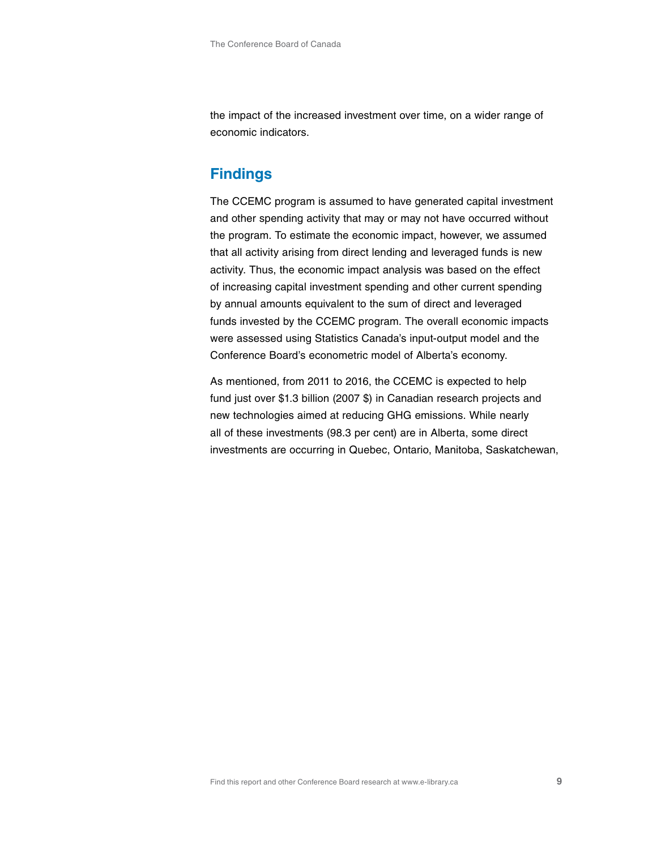the impact of the increased investment over time, on a wider range of economic indicators.

# **Findings**

The CCEMC program is assumed to have generated capital investment and other spending activity that may or may not have occurred without the program. To estimate the economic impact, however, we assumed that all activity arising from direct lending and leveraged funds is new activity. Thus, the economic impact analysis was based on the effect of increasing capital investment spending and other current spending by annual amounts equivalent to the sum of direct and leveraged funds invested by the CCEMC program. The overall economic impacts were assessed using Statistics Canada's input-output model and the Conference Board's econometric model of Alberta's economy.

As mentioned, from 2011 to 2016, the CCEMC is expected to help fund just over \$1.3 billion (2007 \$) in Canadian research projects and new technologies aimed at reducing GHG emissions. While nearly all of these investments (98.3 per cent) are in Alberta, some direct investments are occurring in Quebec, Ontario, Manitoba, Saskatchewan,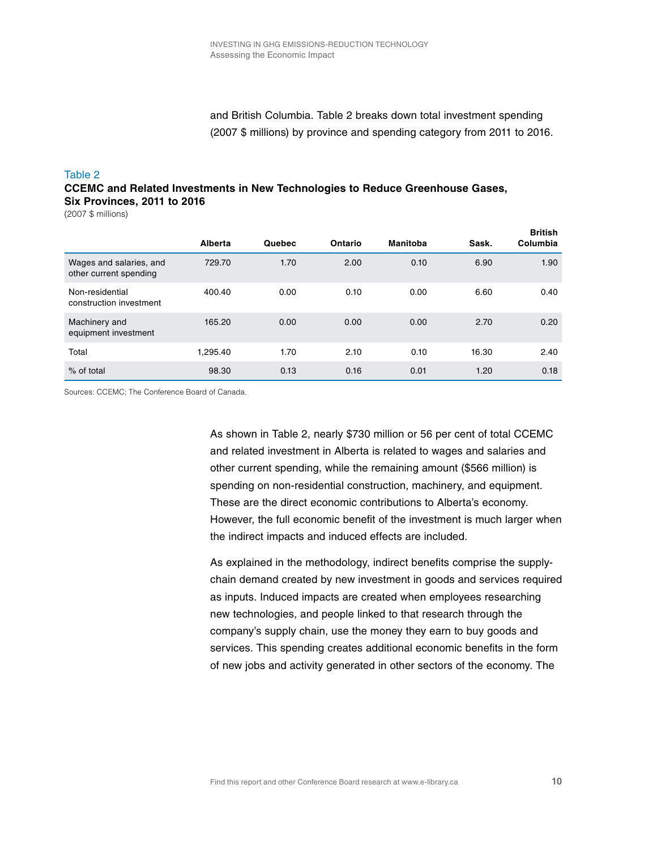### and British Columbia. Table 2 breaks down total investment spending (2007 \$ millions) by province and spending category from 2011 to 2016.

#### Table 2

#### **CCEMC and Related Investments in New Technologies to Reduce Greenhouse Gases, Six Provinces, 2011 to 2016**

(2007 \$ millions)

|                                                   | Alberta  | Quebec | Ontario | <b>Manitoba</b> | Sask. | <b>British</b><br>Columbia |
|---------------------------------------------------|----------|--------|---------|-----------------|-------|----------------------------|
| Wages and salaries, and<br>other current spending | 729.70   | 1.70   | 2.00    | 0.10            | 6.90  | 1.90                       |
| Non-residential<br>construction investment        | 400.40   | 0.00   | 0.10    | 0.00            | 6.60  | 0.40                       |
| Machinery and<br>equipment investment             | 165.20   | 0.00   | 0.00    | 0.00            | 2.70  | 0.20                       |
| Total                                             | 1,295.40 | 1.70   | 2.10    | 0.10            | 16.30 | 2.40                       |
| % of total                                        | 98.30    | 0.13   | 0.16    | 0.01            | 1.20  | 0.18                       |

Sources: CCEMC; The Conference Board of Canada.

As shown in Table 2, nearly \$730 million or 56 per cent of total CCEMC and related investment in Alberta is related to wages and salaries and other current spending, while the remaining amount (\$566 million) is spending on non-residential construction, machinery, and equipment. These are the direct economic contributions to Alberta's economy. However, the full economic benefit of the investment is much larger when the indirect impacts and induced effects are included.

As explained in the methodology, indirect benefits comprise the supplychain demand created by new investment in goods and services required as inputs. Induced impacts are created when employees researching new technologies, and people linked to that research through the company's supply chain, use the money they earn to buy goods and services. This spending creates additional economic benefits in the form of new jobs and activity generated in other sectors of the economy. The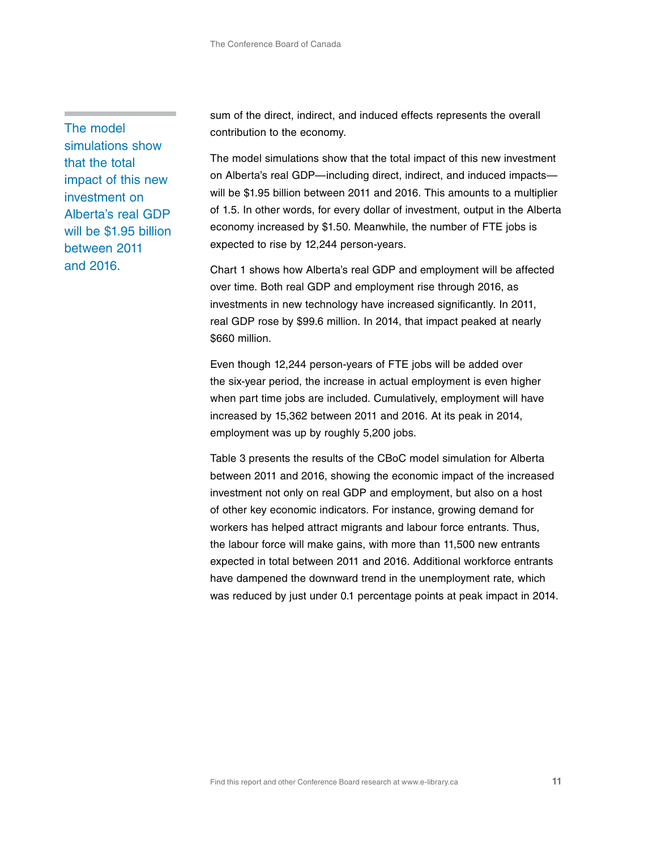The model simulations show that the total impact of this new investment on Alberta's real GDP will be \$1.95 billion between 2011 and 2016.

sum of the direct, indirect, and induced effects represents the overall contribution to the economy.

The model simulations show that the total impact of this new investment on Alberta's real GDP—including direct, indirect, and induced impacts will be \$1.95 billion between 2011 and 2016. This amounts to a multiplier of 1.5. In other words, for every dollar of investment, output in the Alberta economy increased by \$1.50. Meanwhile, the number of FTE jobs is expected to rise by 12,244 person-years.

Chart 1 shows how Alberta's real GDP and employment will be affected over time. Both real GDP and employment rise through 2016, as investments in new technology have increased significantly. In 2011, real GDP rose by \$99.6 million. In 2014, that impact peaked at nearly \$660 million.

Even though 12,244 person-years of FTE jobs will be added over the six-year period, the increase in actual employment is even higher when part time jobs are included. Cumulatively, employment will have increased by 15,362 between 2011 and 2016. At its peak in 2014, employment was up by roughly 5,200 jobs.

Table 3 presents the results of the CBoC model simulation for Alberta between 2011 and 2016, showing the economic impact of the increased investment not only on real GDP and employment, but also on a host of other key economic indicators. For instance, growing demand for workers has helped attract migrants and labour force entrants. Thus, the labour force will make gains, with more than 11,500 new entrants expected in total between 2011 and 2016. Additional workforce entrants have dampened the downward trend in the unemployment rate, which was reduced by just under 0.1 percentage points at peak impact in 2014.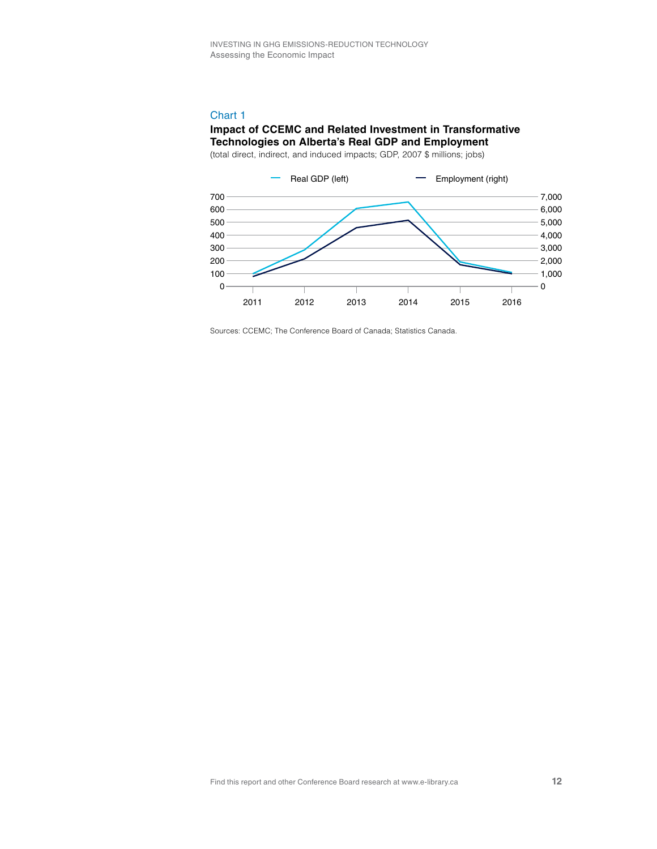#### Chart 1

#### **Impact of CCEMC and Related Investment in Transformative Technologies on Alberta's Real GDP and Employment**

(total direct, indirect, and induced impacts; GDP, 2007 \$ millions; jobs)



Sources: CCEMC; The Conference Board of Canada; Statistics Canada.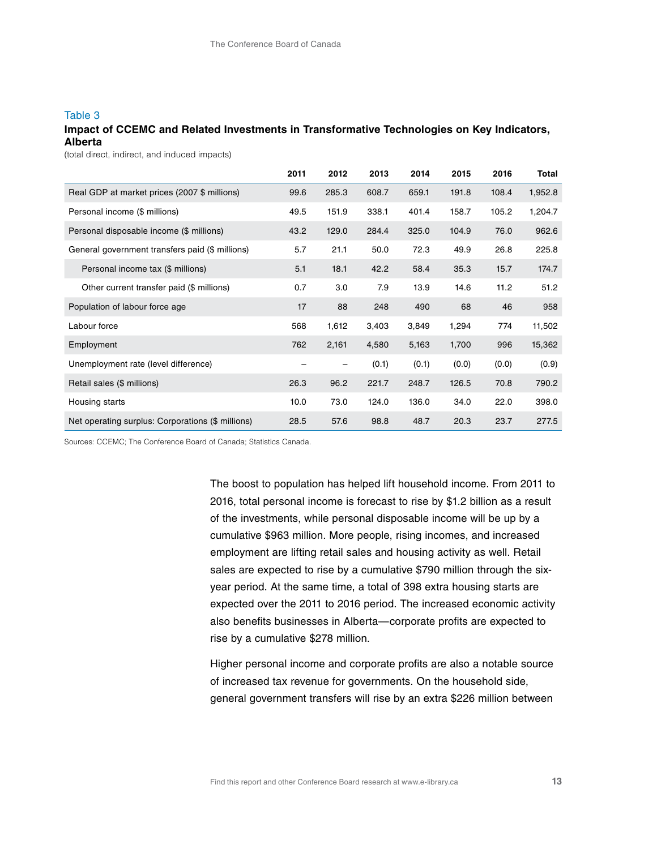#### Table 3

#### **Impact of CCEMC and Related Investments in Transformative Technologies on Key Indicators, Alberta**

(total direct, indirect, and induced impacts)

|                                                   | 2011 | 2012  | 2013  | 2014  | 2015  | 2016  | Total   |
|---------------------------------------------------|------|-------|-------|-------|-------|-------|---------|
| Real GDP at market prices (2007 \$ millions)      | 99.6 | 285.3 | 608.7 | 659.1 | 191.8 | 108.4 | 1,952.8 |
| Personal income (\$ millions)                     | 49.5 | 151.9 | 338.1 | 401.4 | 158.7 | 105.2 | 1,204.7 |
| Personal disposable income (\$ millions)          | 43.2 | 129.0 | 284.4 | 325.0 | 104.9 | 76.0  | 962.6   |
| General government transfers paid (\$ millions)   | 5.7  | 21.1  | 50.0  | 72.3  | 49.9  | 26.8  | 225.8   |
| Personal income tax (\$ millions)                 | 5.1  | 18.1  | 42.2  | 58.4  | 35.3  | 15.7  | 174.7   |
| Other current transfer paid (\$ millions)         | 0.7  | 3.0   | 7.9   | 13.9  | 14.6  | 11.2  | 51.2    |
| Population of labour force age                    | 17   | 88    | 248   | 490   | 68    | 46    | 958     |
| Labour force                                      | 568  | 1,612 | 3,403 | 3,849 | 1,294 | 774   | 11,502  |
| Employment                                        | 762  | 2,161 | 4,580 | 5,163 | 1,700 | 996   | 15,362  |
| Unemployment rate (level difference)              |      | -     | (0.1) | (0.1) | (0.0) | (0.0) | (0.9)   |
| Retail sales (\$ millions)                        | 26.3 | 96.2  | 221.7 | 248.7 | 126.5 | 70.8  | 790.2   |
| Housing starts                                    | 10.0 | 73.0  | 124.0 | 136.0 | 34.0  | 22.0  | 398.0   |
| Net operating surplus: Corporations (\$ millions) | 28.5 | 57.6  | 98.8  | 48.7  | 20.3  | 23.7  | 277.5   |

Sources: CCEMC; The Conference Board of Canada; Statistics Canada.

The boost to population has helped lift household income. From 2011 to 2016, total personal income is forecast to rise by \$1.2 billion as a result of the investments, while personal disposable income will be up by a cumulative \$963 million. More people, rising incomes, and increased employment are lifting retail sales and housing activity as well. Retail sales are expected to rise by a cumulative \$790 million through the sixyear period. At the same time, a total of 398 extra housing starts are expected over the 2011 to 2016 period. The increased economic activity also benefits businesses in Alberta—corporate profits are expected to rise by a cumulative \$278 million.

Higher personal income and corporate profits are also a notable source of increased tax revenue for governments. On the household side, general government transfers will rise by an extra \$226 million between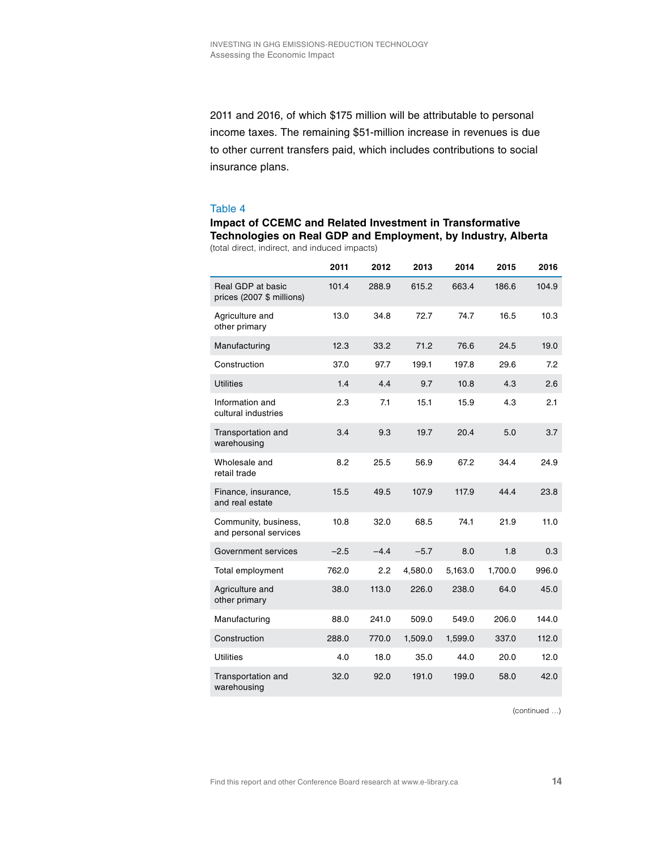2011 and 2016, of which \$175 million will be attributable to personal income taxes. The remaining \$51-million increase in revenues is due to other current transfers paid, which includes contributions to social insurance plans.

#### Table 4

**Impact of CCEMC and Related Investment in Transformative Technologies on Real GDP and Employment, by Industry, Alberta** (total direct, indirect, and induced impacts)

|                                                | 2011   | 2012   | 2013    | 2014    | 2015    | 2016  |
|------------------------------------------------|--------|--------|---------|---------|---------|-------|
| Real GDP at basic<br>prices (2007 \$ millions) | 101.4  | 288.9  | 615.2   | 663.4   | 186.6   | 104.9 |
| Agriculture and<br>other primary               | 13.0   | 34.8   | 72.7    | 74.7    | 16.5    | 10.3  |
| Manufacturing                                  | 12.3   | 33.2   | 71.2    | 76.6    | 24.5    | 19.0  |
| Construction                                   | 37.0   | 97.7   | 199.1   | 197.8   | 29.6    | 7.2   |
| <b>Utilities</b>                               | 1.4    | 4.4    | 9.7     | 10.8    | 4.3     | 2.6   |
| Information and<br>cultural industries         | 2.3    | 7.1    | 15.1    | 15.9    | 4.3     | 2.1   |
| Transportation and<br>warehousing              | 3.4    | 9.3    | 19.7    | 20.4    | 5.0     | 3.7   |
| Wholesale and<br>retail trade                  | 8.2    | 25.5   | 56.9    | 67.2    | 34.4    | 24.9  |
| Finance, insurance,<br>and real estate         | 15.5   | 49.5   | 107.9   | 117.9   | 44.4    | 23.8  |
| Community, business,<br>and personal services  | 10.8   | 32.0   | 68.5    | 74.1    | 21.9    | 11.0  |
| Government services                            | $-2.5$ | $-4.4$ | $-5.7$  | 8.0     | 1.8     | 0.3   |
| Total employment                               | 762.0  | 2.2    | 4,580.0 | 5,163.0 | 1,700.0 | 996.0 |
| Agriculture and<br>other primary               | 38.0   | 113.0  | 226.0   | 238.0   | 64.0    | 45.0  |
| Manufacturing                                  | 88.0   | 241.0  | 509.0   | 549.0   | 206.0   | 144.0 |
| Construction                                   | 288.0  | 770.0  | 1,509.0 | 1,599.0 | 337.0   | 112.0 |
| <b>Utilities</b>                               | 4.0    | 18.0   | 35.0    | 44.0    | 20.0    | 12.0  |
| Transportation and<br>warehousing              | 32.0   | 92.0   | 191.0   | 199.0   | 58.0    | 42.0  |

(continued …)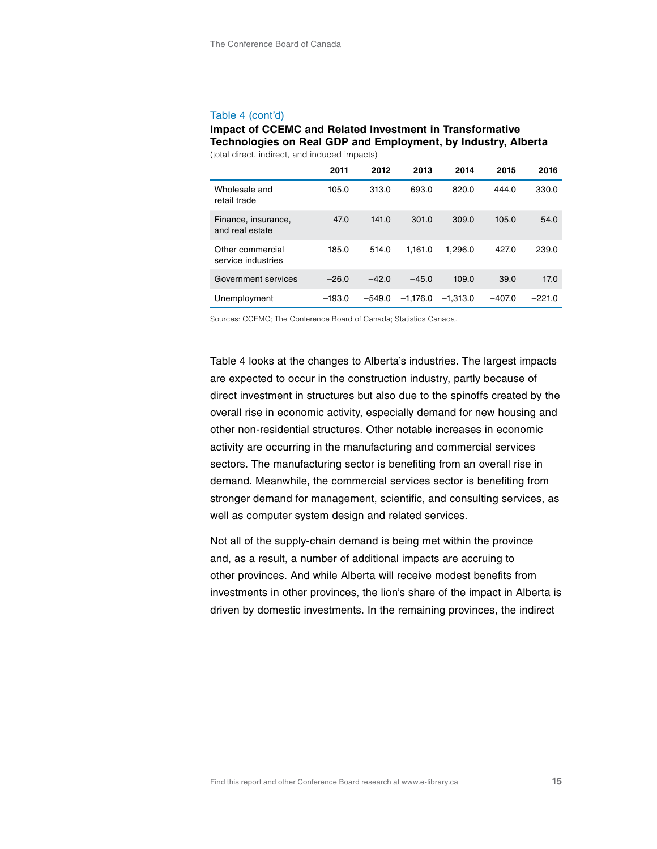#### Table 4 (cont'd)

#### **Impact of CCEMC and Related Investment in Transformative Technologies on Real GDP and Employment, by Industry, Alberta** (total direct, indirect, and induced impacts)

|                                        | 2011     | 2012     | 2013       | 2014       | 2015     | 2016     |
|----------------------------------------|----------|----------|------------|------------|----------|----------|
| Wholesale and<br>retail trade          | 105.0    | 313.0    | 693.0      | 820.0      | 444.0    | 330.0    |
| Finance, insurance,<br>and real estate | 47.0     | 141.0    | 301.0      | 309.0      | 105.0    | 54.0     |
| Other commercial<br>service industries | 185.0    | 514.0    | 1.161.0    | 1.296.0    | 427.0    | 239.0    |
| Government services                    | $-26.0$  | $-42.0$  | $-45.0$    | 109.0      | 39.0     | 17.0     |
| Unemployment                           | $-193.0$ | $-549.0$ | $-1.176.0$ | $-1.313.0$ | $-407.0$ | $-221.0$ |

Sources: CCEMC; The Conference Board of Canada; Statistics Canada.

Table 4 looks at the changes to Alberta's industries. The largest impacts are expected to occur in the construction industry, partly because of direct investment in structures but also due to the spinoffs created by the overall rise in economic activity, especially demand for new housing and other non-residential structures. Other notable increases in economic activity are occurring in the manufacturing and commercial services sectors. The manufacturing sector is benefiting from an overall rise in demand. Meanwhile, the commercial services sector is benefiting from stronger demand for management, scientific, and consulting services, as well as computer system design and related services.

Not all of the supply-chain demand is being met within the province and, as a result, a number of additional impacts are accruing to other provinces. And while Alberta will receive modest benefits from investments in other provinces, the lion's share of the impact in Alberta is driven by domestic investments. In the remaining provinces, the indirect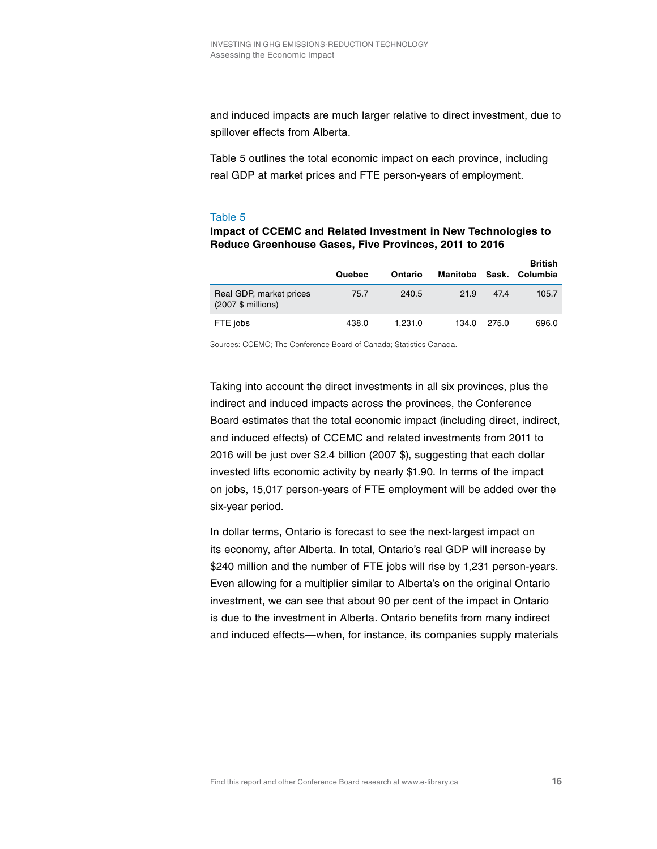and induced impacts are much larger relative to direct investment, due to spillover effects from Alberta.

Table 5 outlines the total economic impact on each province, including real GDP at market prices and FTE person-years of employment.

#### Table 5

#### **Impact of CCEMC and Related Investment in New Technologies to Reduce Greenhouse Gases, Five Provinces, 2011 to 2016**

|                                               | Quebec | Ontario | Manitoba |       | <b>British</b><br>Sask. Columbia |
|-----------------------------------------------|--------|---------|----------|-------|----------------------------------|
| Real GDP, market prices<br>(2007 \$ millions) | 75.7   | 240.5   | 21.9     | 47.4  | 105.7                            |
| FTE jobs                                      | 438.0  | 1.231.0 | 134.0    | 275.0 | 696.0                            |

Sources: CCEMC; The Conference Board of Canada; Statistics Canada.

Taking into account the direct investments in all six provinces, plus the indirect and induced impacts across the provinces, the Conference Board estimates that the total economic impact (including direct, indirect, and induced effects) of CCEMC and related investments from 2011 to 2016 will be just over \$2.4 billion (2007 \$), suggesting that each dollar invested lifts economic activity by nearly \$1.90. In terms of the impact on jobs, 15,017 person-years of FTE employment will be added over the six-year period.

In dollar terms, Ontario is forecast to see the next-largest impact on its economy, after Alberta. In total, Ontario's real GDP will increase by \$240 million and the number of FTE jobs will rise by 1,231 person-years. Even allowing for a multiplier similar to Alberta's on the original Ontario investment, we can see that about 90 per cent of the impact in Ontario is due to the investment in Alberta. Ontario benefits from many indirect and induced effects—when, for instance, its companies supply materials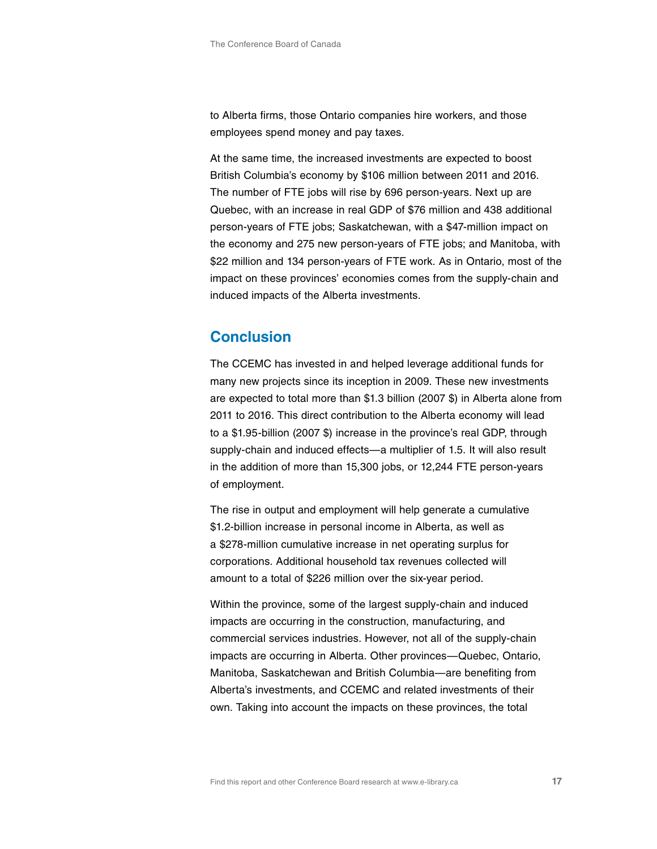to Alberta firms, those Ontario companies hire workers, and those employees spend money and pay taxes.

At the same time, the increased investments are expected to boost British Columbia's economy by \$106 million between 2011 and 2016. The number of FTE jobs will rise by 696 person-years. Next up are Quebec, with an increase in real GDP of \$76 million and 438 additional person-years of FTE jobs; Saskatchewan, with a \$47-million impact on the economy and 275 new person-years of FTE jobs; and Manitoba, with \$22 million and 134 person-years of FTE work. As in Ontario, most of the impact on these provinces' economies comes from the supply-chain and induced impacts of the Alberta investments.

# **Conclusion**

The CCEMC has invested in and helped leverage additional funds for many new projects since its inception in 2009. These new investments are expected to total more than \$1.3 billion (2007 \$) in Alberta alone from 2011 to 2016. This direct contribution to the Alberta economy will lead to a \$1.95-billion (2007 \$) increase in the province's real GDP, through supply-chain and induced effects—a multiplier of 1.5. It will also result in the addition of more than 15,300 jobs, or 12,244 FTE person-years of employment.

The rise in output and employment will help generate a cumulative \$1.2-billion increase in personal income in Alberta, as well as a \$278-million cumulative increase in net operating surplus for corporations. Additional household tax revenues collected will amount to a total of \$226 million over the six-year period.

Within the province, some of the largest supply-chain and induced impacts are occurring in the construction, manufacturing, and commercial services industries. However, not all of the supply-chain impacts are occurring in Alberta. Other provinces—Quebec, Ontario, Manitoba, Saskatchewan and British Columbia—are benefiting from Alberta's investments, and CCEMC and related investments of their own. Taking into account the impacts on these provinces, the total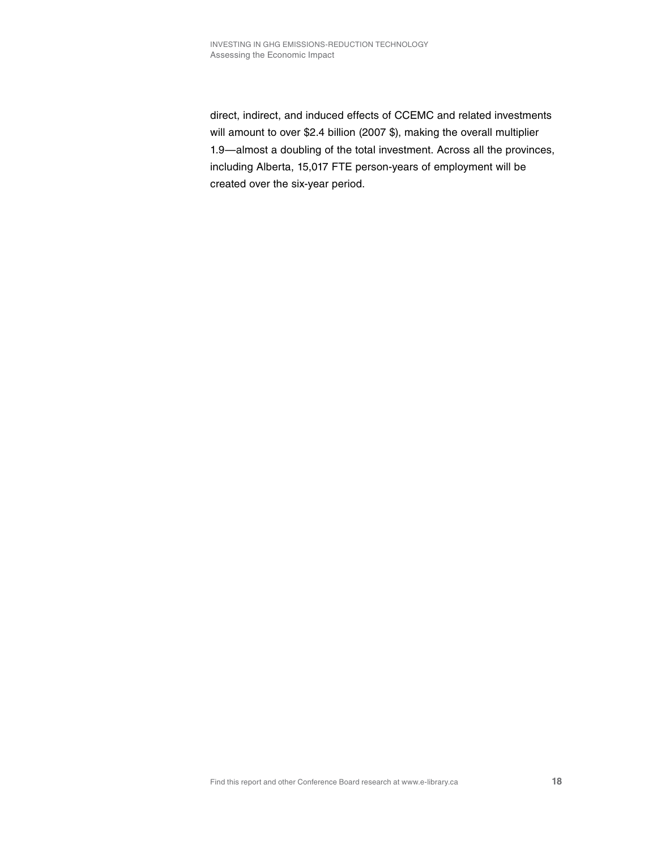direct, indirect, and induced effects of CCEMC and related investments will amount to over \$2.4 billion (2007 \$), making the overall multiplier 1.9—almost a doubling of the total investment. Across all the provinces, including Alberta, 15,017 FTE person-years of employment will be created over the six-year period.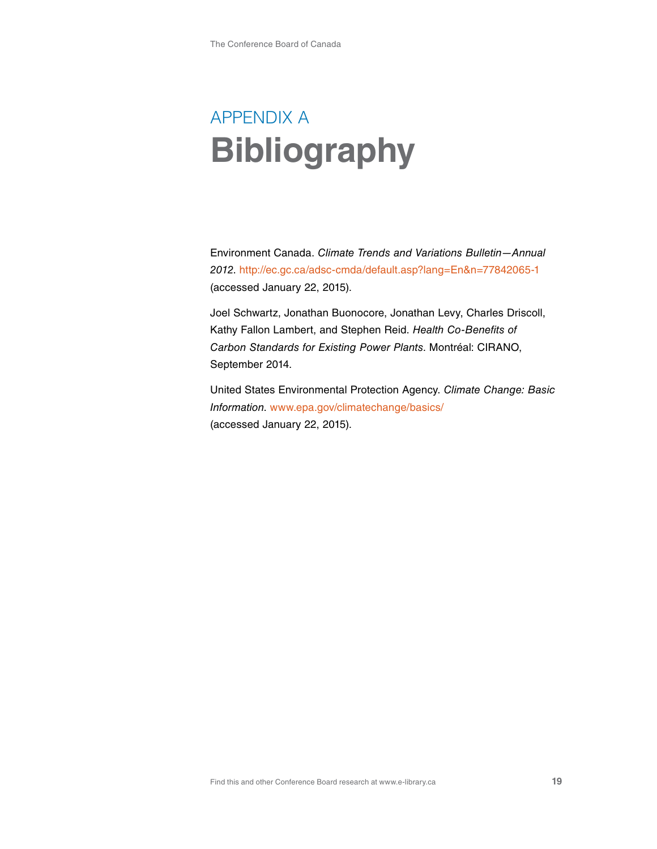# APPENDIX A **Bibliography**

Environment Canada. *Climate Trends and Variations Bulletin—Annual 2012*. <http://ec.gc.ca/adsc-cmda/default.asp?lang=En&n=77842065-1> (accessed January 22, 2015).

Joel Schwartz, Jonathan Buonocore, Jonathan Levy, Charles Driscoll, Kathy Fallon Lambert, and Stephen Reid. *Health Co-Benefits of Carbon Standards for Existing Power Plants*. Montréal: CIRANO, September 2014.

United States Environmental Protection Agency. *Climate Change: Basic Information*. [www.epa.gov/climatechange/basics/](http://www.epa.gov/climatechange/basics/) (accessed January 22, 2015).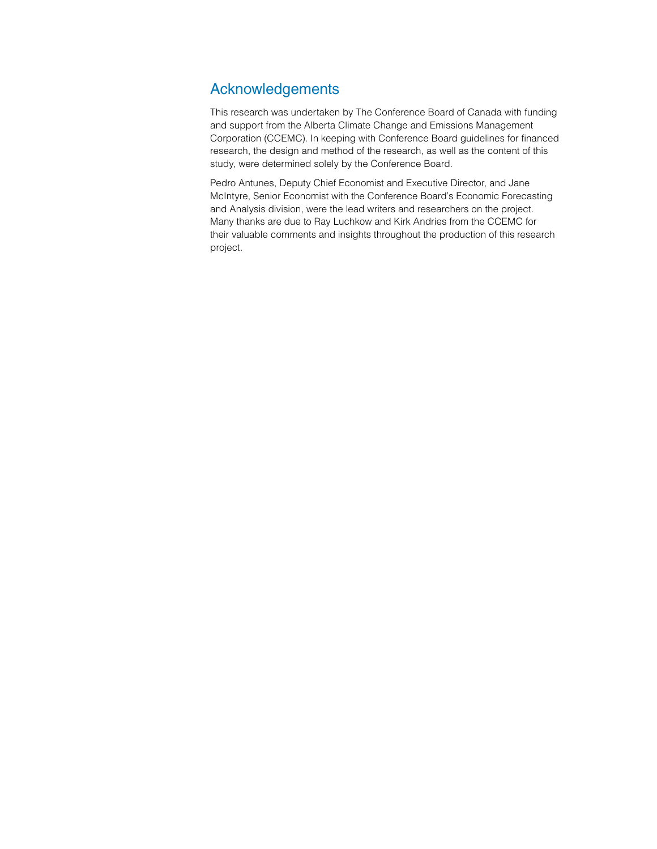# Acknowledgements

This research was undertaken by The Conference Board of Canada with funding and support from the Alberta Climate Change and Emissions Management Corporation (CCEMC). In keeping with Conference Board guidelines for financed research, the design and method of the research, as well as the content of this study, were determined solely by the Conference Board.

Pedro Antunes, Deputy Chief Economist and Executive Director, and Jane McIntyre, Senior Economist with the Conference Board's Economic Forecasting and Analysis division, were the lead writers and researchers on the project. Many thanks are due to Ray Luchkow and Kirk Andries from the CCEMC for their valuable comments and insights throughout the production of this research project.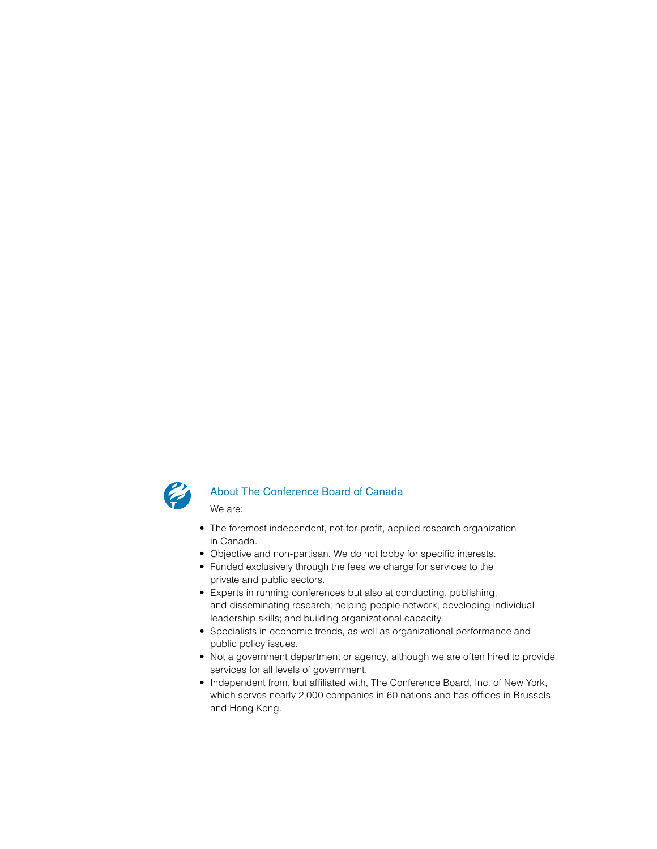

#### About The Conference Board of Canada

We are:

- The foremost independent, not-for-profit, applied research organization in Canada.
- Objective and non-partisan. We do not lobby for specific interests.
- Funded exclusively through the fees we charge for services to the private and public sectors.
- Experts in running conferences but also at conducting, publishing, and disseminating research; helping people network; developing individual leadership skills; and building organizational capacity.
- Specialists in economic trends, as well as organizational performance and public policy issues.
- Not a government department or agency, although we are often hired to provide services for all levels of government.
- Independent from, but affiliated with, The Conference Board, Inc. of New York, which serves nearly 2,000 companies in 60 nations and has offices in Brussels and Hong Kong.